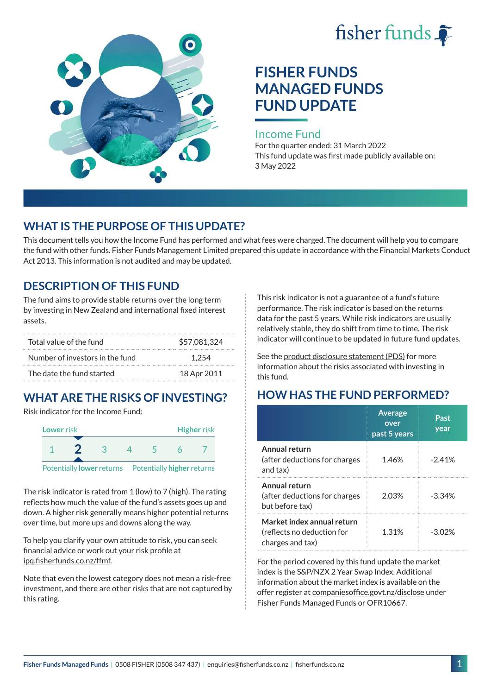



# **FISHER FUNDS MANAGED FUNDS FUND UPDATE**

#### Income Fund

For the quarter ended: 31 March 2022 This fund update was first made publicly available on: 3 May 2022

## **WHAT IS THE PURPOSE OF THIS UPDATE?**

This document tells you how the Income Fund has performed and what fees were charged. The document will help you to compare the fund with other funds. Fisher Funds Management Limited prepared this update in accordance with the Financial Markets Conduct Act 2013. This information is not audited and may be updated.

## **DESCRIPTION OF THIS FUND**

The fund aims to provide stable returns over the long term by investing in New Zealand and international fixed interest assets.

| Total value of the fund         | \$57,081,324 |
|---------------------------------|--------------|
| Number of investors in the fund | 1.254        |
| The date the fund started       | 18 Apr 2011  |

## **WHAT ARE THE RISKS OF INVESTING?**

Risk indicator for the Income Fund:



The risk indicator is rated from 1 (low) to 7 (high). The rating reflects how much the value of the fund's assets goes up and down. A higher risk generally means higher potential returns over time, but more ups and downs along the way.

To help you clarify your own attitude to risk, you can seek financial advice or work out your risk profile at [ipq.fisherfunds.co.nz/ffmf](https://ipq.fisherfunds.co.nz/ffmf).

Note that even the lowest category does not mean a risk-free investment, and there are other risks that are not captured by this rating.

This risk indicator is not a guarantee of a fund's future performance. The risk indicator is based on the returns data for the past 5 years. While risk indicators are usually relatively stable, they do shift from time to time. The risk indicator will continue to be updated in future fund updates.

See the [product disclosure statement \(PDS\)](https://fisherfunds.co.nz/assets/PDS/Fisher-Funds-Managed-Funds-PDS.pdf) for more information about the risks associated with investing in this fund.

## **HOW HAS THE FUND PERFORMED?**

|                                                                              | <b>Average</b><br>over<br>past 5 years | Past<br>year |
|------------------------------------------------------------------------------|----------------------------------------|--------------|
| Annual return<br>(after deductions for charges<br>and tax)                   | 1.46%                                  | $-2.41%$     |
| Annual return<br>(after deductions for charges<br>but before tax)            | 2.03%                                  | $-3.34%$     |
| Market index annual return<br>(reflects no deduction for<br>charges and tax) | 1.31%                                  | -302%        |

For the period covered by this fund update the market index is the S&P/NZX 2 Year Swap Index. Additional information about the market index is available on the offer register at [companiesoffice.govt.nz/disclose](http://companiesoffice.govt.nz/disclose) under Fisher Funds Managed Funds or OFR10667.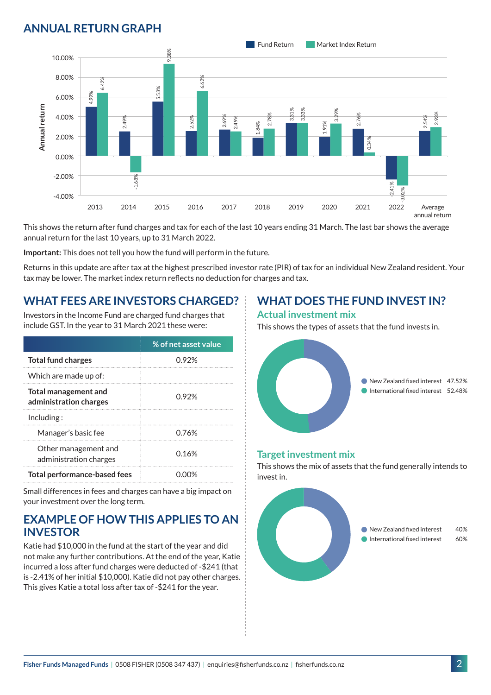## **ANNUAL RETURN GRAPH**



This shows the return after fund charges and tax for each of the last 10 years ending 31 March. The last bar shows the average annual return for the last 10 years, up to 31 March 2022.

**Important:** This does not tell you how the fund will perform in the future.

Returns in this update are after tax at the highest prescribed investor rate (PIR) of tax for an individual New Zealand resident. Your tax may be lower. The market index return reflects no deduction for charges and tax.

### **WHAT FEES ARE INVESTORS CHARGED?**

Investors in the Income Fund are charged fund charges that include GST. In the year to 31 March 2021 these were:

|                                                       | % of net asset value |  |
|-------------------------------------------------------|----------------------|--|
| <b>Total fund charges</b>                             | 0.92%                |  |
| Which are made up of:                                 |                      |  |
| <b>Total management and</b><br>administration charges | 0.92%                |  |
| Inding:                                               |                      |  |
| Manager's basic fee                                   | 0.76%                |  |
| Other management and<br>administration charges        | 0.16%                |  |
| <b>Total performance-based fees</b>                   |                      |  |

Small differences in fees and charges can have a big impact on your investment over the long term.

### **EXAMPLE OF HOW THIS APPLIES TO AN INVESTOR**

Katie had \$10,000 in the fund at the start of the year and did not make any further contributions. At the end of the year, Katie incurred a loss after fund charges were deducted of -\$241 (that is -2.41% of her initial \$10,000). Katie did not pay other charges. This gives Katie a total loss after tax of -\$241 for the year.

## **WHAT DOES THE FUND INVEST IN?**

#### **Actual investment mix**

This shows the types of assets that the fund invests in.



#### **Target investment mix**

This shows the mix of assets that the fund generally intends to invest in.